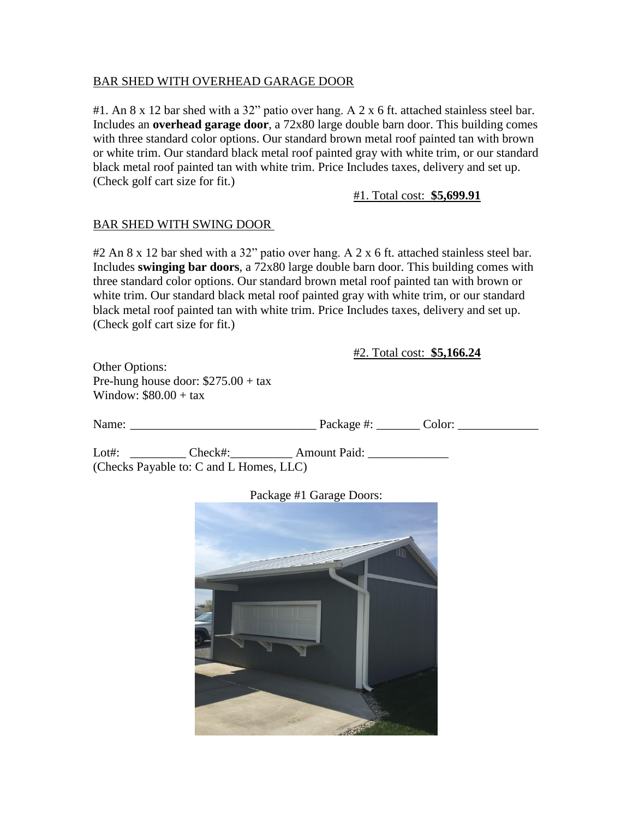## BAR SHED WITH OVERHEAD GARAGE DOOR

#1. An 8 x 12 bar shed with a 32" patio over hang. A 2 x 6 ft. attached stainless steel bar. Includes an **overhead garage door**, a 72x80 large double barn door. This building comes with three standard color options. Our standard brown metal roof painted tan with brown or white trim. Our standard black metal roof painted gray with white trim, or our standard black metal roof painted tan with white trim. Price Includes taxes, delivery and set up. (Check golf cart size for fit.)

## #1. Total cost: **\$5,699.91**

## BAR SHED WITH SWING DOOR

#2 An 8 x 12 bar shed with a 32" patio over hang. A 2 x 6 ft. attached stainless steel bar. Includes **swinging bar doors**, a 72x80 large double barn door. This building comes with three standard color options. Our standard brown metal roof painted tan with brown or white trim. Our standard black metal roof painted gray with white trim, or our standard black metal roof painted tan with white trim. Price Includes taxes, delivery and set up. (Check golf cart size for fit.)

#2. Total cost: **\$5,166.24**

Other Options: Pre-hung house door: \$275.00 + tax Window:  $$80.00 + tax$ 

| Name: |                                         | Package #:          | Color: |  |
|-------|-----------------------------------------|---------------------|--------|--|
| Lot#: | Check#:                                 | <b>Amount Paid:</b> |        |  |
|       | (Checks Payable to: C and L Homes, LLC) |                     |        |  |

Package #1 Garage Doors: